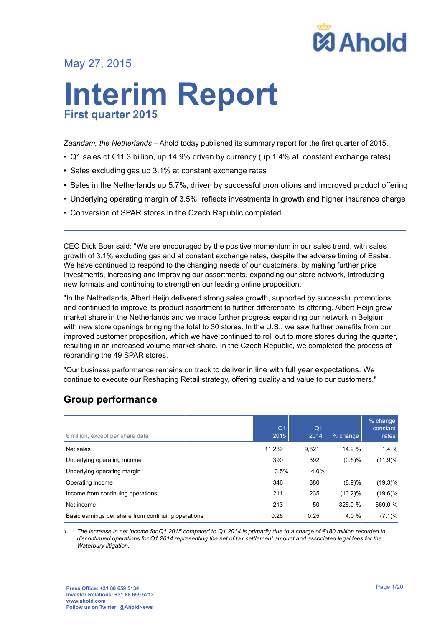

# May 27, 2015

# **Interim Report First quarter 2015**

*Zaandam, the Netherlands* – Ahold today published its summary report for the first quarter of 2015.

- Q1 sales of €11.3 billion, up 14.9% driven by currency (up 1.4% at constant exchange rates)
- Sales excluding gas up 3.1% at constant exchange rates
- Sales in the Netherlands up 5.7%, driven by successful promotions and improved product offering
- Underlying operating margin of 3.5%, reflects investments in growth and higher insurance charge
- Conversion of SPAR stores in the Czech Republic completed

CEO Dick Boer said: "We are encouraged by the positive momentum in our sales trend, with sales growth of 3.1% excluding gas and at constant exchange rates, despite the adverse timing of Easter. We have continued to respond to the changing needs of our customers, by making further price investments, increasing and improving our assortments, expanding our store network, introducing new formats and continuing to strengthen our leading online proposition.

"In the Netherlands, Albert Heijn delivered strong sales growth, supported by successful promotions, and continued to improve its product assortment to further differentiate its offering. Albert Heijn grew market share in the Netherlands and we made further progress expanding our network in Belgium with new store openings bringing the total to 30 stores. In the U.S., we saw further benefits from our improved customer proposition, which we have continued to roll out to more stores during the quarter, resulting in an increased volume market share. In the Czech Republic, we completed the process of rebranding the 49 SPAR stores.

"Our business performance remains on track to deliver in line with full year expectations. We continue to execute our Reshaping Retail strategy, offering quality and value to our customers."

# **Group performance**

| $\epsilon$ million, except per share data           | Q <sub>1</sub><br>2015 | Q <sub>1</sub><br>2014 | % change | % change<br>constant<br>rates |
|-----------------------------------------------------|------------------------|------------------------|----------|-------------------------------|
| Net sales                                           | 11,289                 | 9,821                  | 14.9 %   | 1.4%                          |
| Underlying operating income                         | 390                    | 392                    | (0.5)%   | (11.9)%                       |
| Underlying operating margin                         | 3.5%                   | 4.0%                   |          |                               |
| Operating income                                    | 346                    | 380                    | (8.9)%   | $(19.3)\%$                    |
| Income from continuing operations                   | 211                    | 235                    | (10.2)%  | $(19.6)\%$                    |
| Net income <sup>1</sup>                             | 213                    | 50                     | 326.0 %  | 669.0 %                       |
| Basic earnings per share from continuing operations | 0.26                   | 0.25                   | 4.0 %    | (7.1)%                        |

*1 The increase in net income for Q1 2015 compared to Q1 2014 is primarily due to a charge of €180 million recorded in discontinued operations for Q1 2014 representing the net of tax settlement amount and associated legal fees for the Waterbury litigation.*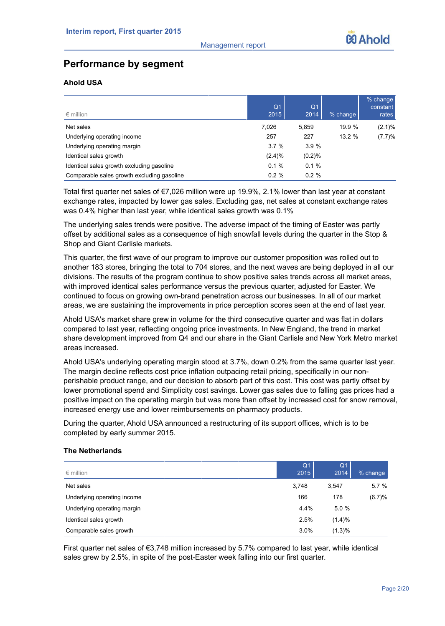# **Performance by segment**

# **Ahold USA**

| $\epsilon$ million                         | Q <sub>1</sub><br>2015 | Q <sub>1</sub><br>2014 | % change | % change<br>constant<br>rates |
|--------------------------------------------|------------------------|------------------------|----------|-------------------------------|
| Net sales                                  | 7,026                  | 5,859                  | 19.9 %   | $(2.1)\%$                     |
| Underlying operating income                | 257                    | 227                    | 13.2%    | (7.7)%                        |
| Underlying operating margin                | 3.7%                   | 3.9%                   |          |                               |
| Identical sales growth                     | (2.4)%                 | (0.2)%                 |          |                               |
| Identical sales growth excluding gasoline  | 0.1%                   | 0.1%                   |          |                               |
| Comparable sales growth excluding gasoline | $0.2 \%$               | $0.2 \%$               |          |                               |

Total first quarter net sales of €7,026 million were up 19.9%, 2.1% lower than last year at constant exchange rates, impacted by lower gas sales. Excluding gas, net sales at constant exchange rates was 0.4% higher than last year, while identical sales growth was 0.1%

The underlying sales trends were positive. The adverse impact of the timing of Easter was partly offset by additional sales as a consequence of high snowfall levels during the quarter in the Stop & Shop and Giant Carlisle markets.

This quarter, the first wave of our program to improve our customer proposition was rolled out to another 183 stores, bringing the total to 704 stores, and the next waves are being deployed in all our divisions. The results of the program continue to show positive sales trends across all market areas, with improved identical sales performance versus the previous quarter, adjusted for Easter. We continued to focus on growing own-brand penetration across our businesses. In all of our market areas, we are sustaining the improvements in price perception scores seen at the end of last year.

Ahold USA's market share grew in volume for the third consecutive quarter and was flat in dollars compared to last year, reflecting ongoing price investments. In New England, the trend in market share development improved from Q4 and our share in the Giant Carlisle and New York Metro market areas increased.

Ahold USA's underlying operating margin stood at 3.7%, down 0.2% from the same quarter last year. The margin decline reflects cost price inflation outpacing retail pricing, specifically in our nonperishable product range, and our decision to absorb part of this cost. This cost was partly offset by lower promotional spend and Simplicity cost savings. Lower gas sales due to falling gas prices had a positive impact on the operating margin but was more than offset by increased cost for snow removal, increased energy use and lower reimbursements on pharmacy products.

During the quarter, Ahold USA announced a restructuring of its support offices, which is to be completed by early summer 2015.

## **The Netherlands**

| $\epsilon$ million          | Q <sub>1</sub><br>2015 | Q <sub>1</sub><br>2014 | % change |
|-----------------------------|------------------------|------------------------|----------|
| Net sales                   | 3,748                  | 3.547                  | 5.7%     |
| Underlying operating income | 166                    | 178                    | (6.7)%   |
| Underlying operating margin | 4.4%                   | 5.0%                   |          |
| Identical sales growth      | 2.5%                   | (1.4)%                 |          |
| Comparable sales growth     | $3.0\%$                | (1.3)%                 |          |

First quarter net sales of €3,748 million increased by 5.7% compared to last year, while identical sales grew by 2.5%, in spite of the post-Easter week falling into our first quarter.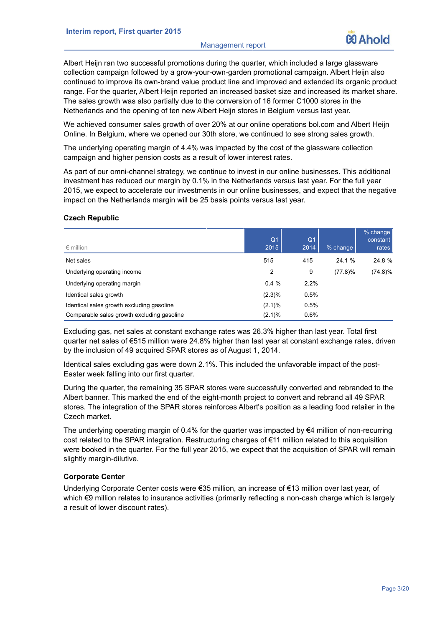#### Management report

Albert Heijn ran two successful promotions during the quarter, which included a large glassware collection campaign followed by a grow-your-own-garden promotional campaign. Albert Heijn also continued to improve its own-brand value product line and improved and extended its organic product range. For the quarter, Albert Heijn reported an increased basket size and increased its market share. The sales growth was also partially due to the conversion of 16 former C1000 stores in the Netherlands and the opening of ten new Albert Heijn stores in Belgium versus last year.

We achieved consumer sales growth of over 20% at our online operations bol.com and Albert Heijn Online. In Belgium, where we opened our 30th store, we continued to see strong sales growth.

The underlying operating margin of 4.4% was impacted by the cost of the glassware collection campaign and higher pension costs as a result of lower interest rates.

As part of our omni-channel strategy, we continue to invest in our online businesses. This additional investment has reduced our margin by 0.1% in the Netherlands versus last year. For the full year 2015, we expect to accelerate our investments in our online businesses, and expect that the negative impact on the Netherlands margin will be 25 basis points versus last year.

## **Czech Republic**

| $\epsilon$ million                         | Q <sub>1</sub><br>2015 | Q <sub>1</sub><br>2014 | $%$ change | $%$ change<br>constant<br>rates |
|--------------------------------------------|------------------------|------------------------|------------|---------------------------------|
| Net sales                                  | 515                    | 415                    | 24.1 %     | 24.8 %                          |
| Underlying operating income                | 2                      | 9                      | $(77.8)\%$ | $(74.8)\%$                      |
| Underlying operating margin                | 0.4%                   | 2.2%                   |            |                                 |
| Identical sales growth                     | (2.3)%                 | 0.5%                   |            |                                 |
| Identical sales growth excluding gasoline  | $(2.1)\%$              | 0.5%                   |            |                                 |
| Comparable sales growth excluding gasoline | $(2.1)\%$              | 0.6%                   |            |                                 |

Excluding gas, net sales at constant exchange rates was 26.3% higher than last year. Total first quarter net sales of €515 million were 24.8% higher than last year at constant exchange rates, driven by the inclusion of 49 acquired SPAR stores as of August 1, 2014.

Identical sales excluding gas were down 2.1%. This included the unfavorable impact of the post-Easter week falling into our first quarter.

During the quarter, the remaining 35 SPAR stores were successfully converted and rebranded to the Albert banner. This marked the end of the eight-month project to convert and rebrand all 49 SPAR stores. The integration of the SPAR stores reinforces Albert's position as a leading food retailer in the Czech market.

The underlying operating margin of 0.4% for the quarter was impacted by  $\epsilon$ 4 million of non-recurring cost related to the SPAR integration. Restructuring charges of €11 million related to this acquisition were booked in the quarter. For the full year 2015, we expect that the acquisition of SPAR will remain slightly margin-dilutive.

## **Corporate Center**

Underlying Corporate Center costs were €35 million, an increase of €13 million over last year, of which €9 million relates to insurance activities (primarily reflecting a non-cash charge which is largely a result of lower discount rates).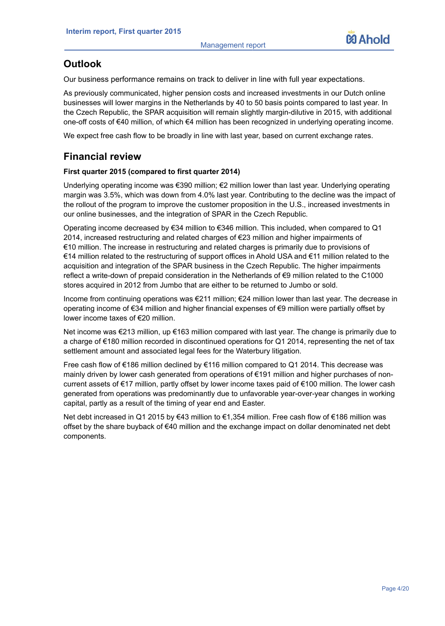

# **Outlook**

Our business performance remains on track to deliver in line with full year expectations.

As previously communicated, higher pension costs and increased investments in our Dutch online businesses will lower margins in the Netherlands by 40 to 50 basis points compared to last year. In the Czech Republic, the SPAR acquisition will remain slightly margin-dilutive in 2015, with additional one-off costs of €40 million, of which €4 million has been recognized in underlying operating income.

We expect free cash flow to be broadly in line with last year, based on current exchange rates.

# **Financial review**

# **First quarter 2015 (compared to first quarter 2014)**

Underlying operating income was €390 million; €2 million lower than last year. Underlying operating margin was 3.5%, which was down from 4.0% last year. Contributing to the decline was the impact of the rollout of the program to improve the customer proposition in the U.S., increased investments in our online businesses, and the integration of SPAR in the Czech Republic.

Operating income decreased by €34 million to €346 million. This included, when compared to Q1 2014, increased restructuring and related charges of  $\epsilon$ 23 million and higher impairments of €10 million. The increase in restructuring and related charges is primarily due to provisions of €14 million related to the restructuring of support offices in Ahold USA and €11 million related to the acquisition and integration of the SPAR business in the Czech Republic. The higher impairments reflect a write-down of prepaid consideration in the Netherlands of €9 million related to the C1000 stores acquired in 2012 from Jumbo that are either to be returned to Jumbo or sold.

Income from continuing operations was €211 million; €24 million lower than last year. The decrease in operating income of €34 million and higher financial expenses of €9 million were partially offset by lower income taxes of €20 million.

Net income was €213 million, up €163 million compared with last year. The change is primarily due to a charge of €180 million recorded in discontinued operations for Q1 2014, representing the net of tax settlement amount and associated legal fees for the Waterbury litigation.

Free cash flow of €186 million declined by €116 million compared to Q1 2014. This decrease was mainly driven by lower cash generated from operations of €191 million and higher purchases of noncurrent assets of €17 million, partly offset by lower income taxes paid of €100 million. The lower cash generated from operations was predominantly due to unfavorable year-over-year changes in working capital, partly as a result of the timing of year end and Easter.

Net debt increased in Q1 2015 by €43 million to €1,354 million. Free cash flow of €186 million was offset by the share buyback of €40 million and the exchange impact on dollar denominated net debt components.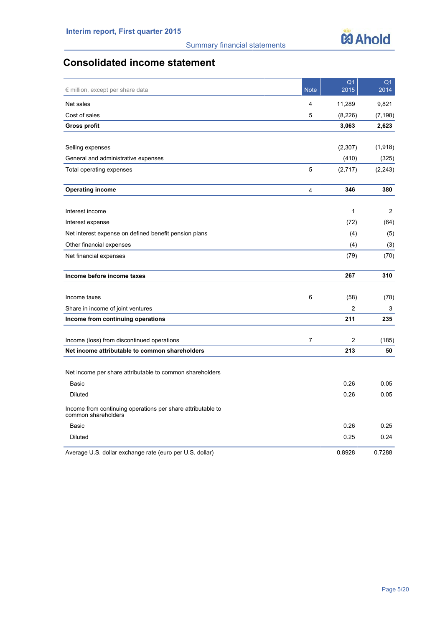

# **Consolidated income statement**

| $\epsilon$ million, except per share data                                          | <b>Note</b>    | Q <sub>1</sub><br>2015 | Q <sub>1</sub><br>2014 |
|------------------------------------------------------------------------------------|----------------|------------------------|------------------------|
| Net sales                                                                          | 4              | 11,289                 | 9,821                  |
| Cost of sales                                                                      | 5              | (8,226)                | (7, 198)               |
| <b>Gross profit</b>                                                                |                | 3,063                  | 2,623                  |
|                                                                                    |                |                        |                        |
| Selling expenses                                                                   |                | (2,307)                | (1,918)                |
| General and administrative expenses                                                |                | (410)                  | (325)                  |
| Total operating expenses                                                           | 5              | (2,717)                | (2, 243)               |
| <b>Operating income</b>                                                            | $\overline{4}$ | 346                    | 380                    |
| Interest income                                                                    |                | 1                      | 2                      |
| Interest expense                                                                   |                | (72)                   | (64)                   |
| Net interest expense on defined benefit pension plans                              |                | (4)                    | (5)                    |
| Other financial expenses                                                           |                | (4)                    | (3)                    |
| Net financial expenses                                                             |                | (79)                   | (70)                   |
| Income before income taxes                                                         |                | 267                    | 310                    |
| Income taxes                                                                       | 6              | (58)                   | (78)                   |
| Share in income of joint ventures                                                  |                | $\overline{c}$         | 3                      |
| Income from continuing operations                                                  |                | 211                    | 235                    |
| Income (loss) from discontinued operations                                         | 7              | 2                      | (185)                  |
| Net income attributable to common shareholders                                     |                | 213                    | 50                     |
| Net income per share attributable to common shareholders                           |                |                        |                        |
| Basic                                                                              |                | 0.26                   | 0.05                   |
| Diluted                                                                            |                | 0.26                   | 0.05                   |
| Income from continuing operations per share attributable to<br>common shareholders |                |                        |                        |
| Basic                                                                              |                | 0.26                   | 0.25                   |
| <b>Diluted</b>                                                                     |                | 0.25                   | 0.24                   |
| Average U.S. dollar exchange rate (euro per U.S. dollar)                           |                | 0.8928                 | 0.7288                 |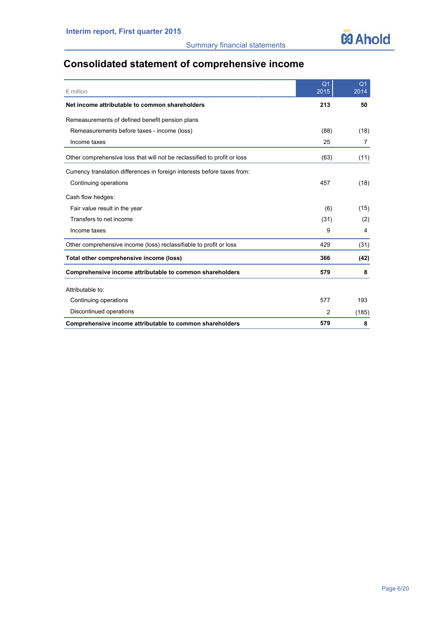

# **Consolidated statement of comprehensive income**

| $\epsilon$ million                                                       | Q <sub>1</sub><br>2015 | Q <sub>1</sub><br>2014 |
|--------------------------------------------------------------------------|------------------------|------------------------|
| Net income attributable to common shareholders                           | 213                    | 50                     |
| Remeasurements of defined benefit pension plans                          |                        |                        |
| Remeasurements before taxes - income (loss)                              | (88)                   | (18)                   |
| Income taxes                                                             | 25                     | 7                      |
| Other comprehensive loss that will not be reclassified to profit or loss | (63)                   | (11)                   |
| Currency translation differences in foreign interests before taxes from: |                        |                        |
| Continuing operations                                                    | 457                    | (18)                   |
| Cash flow hedges:                                                        |                        |                        |
| Fair value result in the year                                            | (6)                    | (15)                   |
| Transfers to net income                                                  | (31)                   | (2)                    |
| Income taxes                                                             | 9                      | 4                      |
| Other comprehensive income (loss) reclassifiable to profit or loss       | 429                    | (31)                   |
| Total other comprehensive income (loss)                                  | 366                    | (42)                   |
| Comprehensive income attributable to common shareholders                 | 579                    | 8                      |
| Attributable to:                                                         |                        |                        |
| Continuing operations                                                    | 577                    | 193                    |
| Discontinued operations                                                  | 2                      | (185)                  |
| Comprehensive income attributable to common shareholders                 | 579                    | 8                      |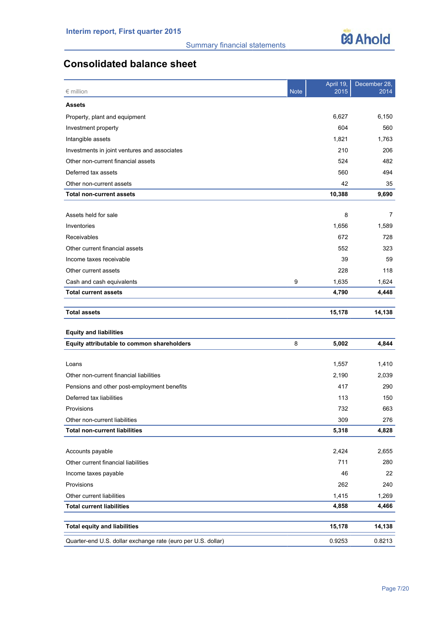

# **Consolidated balance sheet**

| $\epsilon$ million                                           | <b>Note</b> | April 19,<br>2015 | December 28,<br>2014 |
|--------------------------------------------------------------|-------------|-------------------|----------------------|
| <b>Assets</b>                                                |             |                   |                      |
| Property, plant and equipment                                |             | 6,627             | 6,150                |
| Investment property                                          |             | 604               | 560                  |
| Intangible assets                                            |             | 1,821             | 1,763                |
| Investments in joint ventures and associates                 |             | 210               | 206                  |
| Other non-current financial assets                           |             | 524               | 482                  |
| Deferred tax assets                                          |             | 560               | 494                  |
| Other non-current assets                                     |             | 42                | 35                   |
| <b>Total non-current assets</b>                              |             | 10,388            | 9,690                |
|                                                              |             |                   |                      |
| Assets held for sale                                         |             | 8                 | 7                    |
| Inventories                                                  |             | 1,656             | 1,589                |
| Receivables                                                  |             | 672               | 728                  |
| Other current financial assets                               |             | 552               | 323                  |
| Income taxes receivable                                      |             | 39                | 59                   |
| Other current assets                                         |             | 228               | 118                  |
| Cash and cash equivalents                                    | 9           | 1,635             | 1,624                |
| <b>Total current assets</b>                                  |             | 4,790             | 4,448                |
|                                                              |             |                   |                      |
| <b>Total assets</b>                                          |             | 15,178            | 14,138               |
| <b>Equity and liabilities</b>                                |             |                   |                      |
| Equity attributable to common shareholders                   | 8           | 5,002             | 4,844                |
| Loans                                                        |             | 1,557             | 1,410                |
| Other non-current financial liabilities                      |             | 2,190             | 2,039                |
| Pensions and other post-employment benefits                  |             | 417               | 290                  |
| Deferred tax liabilities                                     |             | 113               | 150                  |
| Provisions                                                   |             | 732               | 663                  |
| Other non-current liabilities                                |             | 309               | 276                  |
| <b>Total non-current liabilities</b>                         |             | 5,318             | 4,828                |
|                                                              |             |                   |                      |
| Accounts payable                                             |             | 2,424             | 2,655                |
| Other current financial liabilities                          |             | 711               | 280                  |
| Income taxes payable                                         |             | 46                | 22                   |
| Provisions                                                   |             | 262               | 240                  |
| Other current liabilities                                    |             | 1,415             | 1,269                |
| <b>Total current liabilities</b>                             |             | 4,858             | 4,466                |
|                                                              |             |                   |                      |
| <b>Total equity and liabilities</b>                          |             | 15,178            | 14,138               |
| Quarter-end U.S. dollar exchange rate (euro per U.S. dollar) |             | 0.9253            | 0.8213               |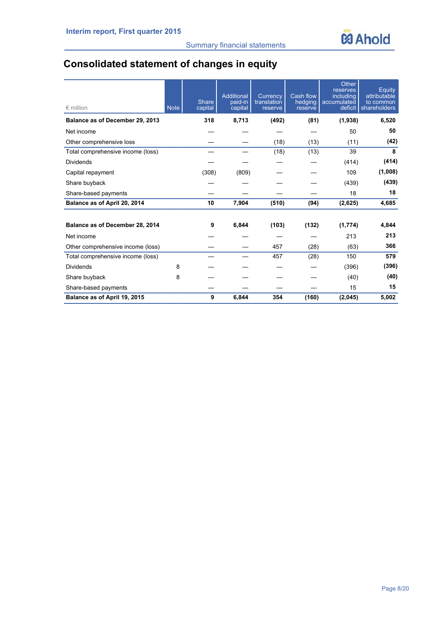

# **Consolidated statement of changes in equity**

| $\epsilon$ million                | <b>Note</b> | Share<br>capital | Additional<br>paid-in<br>capital | Currency<br>translation<br>reserve | Cash flow<br>hedging<br>reserve | Other<br>reserves<br>including<br>accumulated<br>deficit | Equity<br>attributable<br>to common<br>shareholders |
|-----------------------------------|-------------|------------------|----------------------------------|------------------------------------|---------------------------------|----------------------------------------------------------|-----------------------------------------------------|
| Balance as of December 29, 2013   |             | 318              | 8,713                            | (492)                              | (81)                            | (1,938)                                                  | 6,520                                               |
| Net income                        |             |                  |                                  |                                    |                                 | 50                                                       | 50                                                  |
| Other comprehensive loss          |             |                  |                                  | (18)                               | (13)                            | (11)                                                     | (42)                                                |
| Total comprehensive income (loss) |             |                  |                                  | (18)                               | (13)                            | 39                                                       | 8                                                   |
| <b>Dividends</b>                  |             |                  |                                  |                                    |                                 | (414)                                                    | (414)                                               |
| Capital repayment                 |             | (308)            | (809)                            |                                    |                                 | 109                                                      | (1,008)                                             |
| Share buyback                     |             |                  |                                  |                                    |                                 | (439)                                                    | (439)                                               |
| Share-based payments              |             |                  |                                  |                                    |                                 | 18                                                       | 18                                                  |
| Balance as of April 20, 2014      |             | 10               | 7,904                            | (510)                              | (94)                            | (2,625)                                                  | 4,685                                               |
| Balance as of December 28, 2014   |             | 9                | 6,844                            | (103)                              | (132)                           | (1,774)                                                  | 4,844                                               |
| Net income                        |             |                  |                                  |                                    |                                 | 213                                                      | 213                                                 |
| Other comprehensive income (loss) |             |                  |                                  | 457                                | (28)                            | (63)                                                     | 366                                                 |
| Total comprehensive income (loss) |             |                  |                                  | 457                                | (28)                            | 150                                                      | 579                                                 |
| <b>Dividends</b>                  | 8           |                  |                                  |                                    |                                 | (396)                                                    | (396)                                               |
| Share buyback                     | 8           |                  |                                  |                                    |                                 | (40)                                                     | (40)                                                |
| Share-based payments              |             |                  |                                  |                                    |                                 | 15                                                       | 15                                                  |
| Balance as of April 19, 2015      |             | 9                | 6.844                            | 354                                | (160)                           | (2,045)                                                  | 5.002                                               |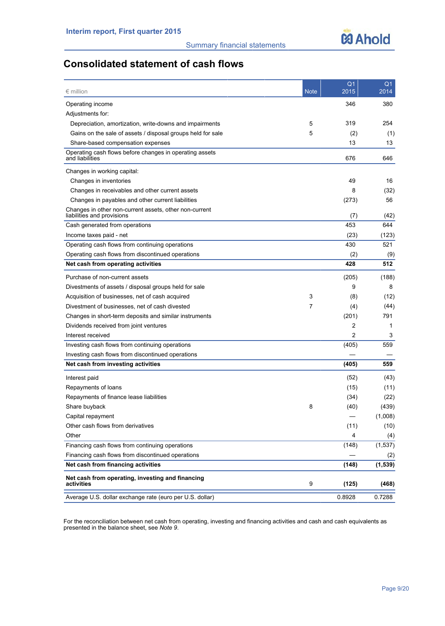

# **Consolidated statement of cash flows**

| $\epsilon$ million                                                                   | <b>Note</b> | Q <sub>1</sub><br>2015 | Q <sub>1</sub><br>2014 |
|--------------------------------------------------------------------------------------|-------------|------------------------|------------------------|
| Operating income                                                                     |             | 346                    | 380                    |
| Adjustments for:                                                                     |             |                        |                        |
| Depreciation, amortization, write-downs and impairments                              | 5           | 319                    | 254                    |
| Gains on the sale of assets / disposal groups held for sale                          | 5           | (2)                    | (1)                    |
| Share-based compensation expenses                                                    |             | 13                     | 13                     |
| Operating cash flows before changes in operating assets<br>and liabilities           |             | 676                    | 646                    |
| Changes in working capital:                                                          |             |                        |                        |
| Changes in inventories                                                               |             | 49                     | 16                     |
| Changes in receivables and other current assets                                      |             | 8                      | (32)                   |
| Changes in payables and other current liabilities                                    |             | (273)                  | 56                     |
| Changes in other non-current assets, other non-current<br>liabilities and provisions |             | (7)                    | (42)                   |
| Cash generated from operations                                                       |             | 453                    | 644                    |
| Income taxes paid - net                                                              |             | (23)                   | (123)                  |
| Operating cash flows from continuing operations                                      |             | 430                    | 521                    |
| Operating cash flows from discontinued operations                                    |             | (2)                    | (9)                    |
| Net cash from operating activities                                                   |             | 428                    | 512                    |
| Purchase of non-current assets                                                       |             | (205)                  | (188)                  |
| Divestments of assets / disposal groups held for sale                                |             | 9                      | 8                      |
| Acquisition of businesses, net of cash acquired                                      | 3           | (8)                    | (12)                   |
| Divestment of businesses, net of cash divested                                       | 7           | (4)                    | (44)                   |
| Changes in short-term deposits and similar instruments                               |             | (201)                  | 791                    |
| Dividends received from joint ventures                                               |             | 2                      | 1                      |
| Interest received                                                                    |             | $\overline{c}$         | 3                      |
| Investing cash flows from continuing operations                                      |             | (405)                  | 559                    |
| Investing cash flows from discontinued operations                                    |             |                        |                        |
| Net cash from investing activities                                                   |             | (405)                  | 559                    |
| Interest paid                                                                        |             | (52)                   | (43)                   |
| Repayments of loans                                                                  |             | (15)                   | (11)                   |
| Repayments of finance lease liabilities                                              |             | (34)                   | (22)                   |
| Share buyback                                                                        | 8           | (40)                   | (439)                  |
| Capital repayment                                                                    |             |                        | (1,008)                |
| Other cash flows from derivatives                                                    |             | (11)                   | (10)                   |
| Other                                                                                |             | 4                      | (4)                    |
| Financing cash flows from continuing operations                                      |             | (148)                  | (1, 537)               |
| Financing cash flows from discontinued operations                                    |             |                        | (2)                    |
| Net cash from financing activities                                                   |             | (148)                  | (1, 539)               |
| Net cash from operating, investing and financing<br>activities                       | 9           | (125)                  | (468)                  |
| Average U.S. dollar exchange rate (euro per U.S. dollar)                             |             | 0.8928                 | 0.7288                 |

For the reconciliation between net cash from operating, investing and financing activities and cash and cash equivalents as presented in the balance sheet, see *Note 9*.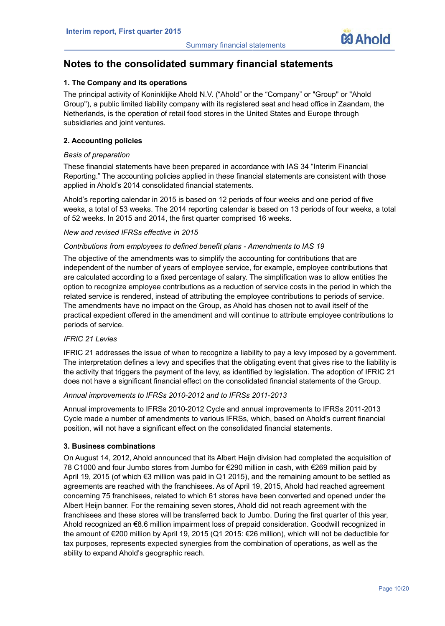

# **Notes to the consolidated summary financial statements**

# **1. The Company and its operations**

The principal activity of Koninklijke Ahold N.V. ("Ahold" or the "Company" or "Group" or "Ahold Group"), a public limited liability company with its registered seat and head office in Zaandam, the Netherlands, is the operation of retail food stores in the United States and Europe through subsidiaries and joint ventures.

## **2. Accounting policies**

## *Basis of preparation*

These financial statements have been prepared in accordance with IAS 34 "Interim Financial Reporting." The accounting policies applied in these financial statements are consistent with those applied in Ahold's 2014 consolidated financial statements.

Ahold's reporting calendar in 2015 is based on 12 periods of four weeks and one period of five weeks, a total of 53 weeks. The 2014 reporting calendar is based on 13 periods of four weeks, a total of 52 weeks. In 2015 and 2014, the first quarter comprised 16 weeks.

## *New and revised IFRSs effective in 2015*

# *Contributions from employees to defined benefit plans - Amendments to IAS 19*

The objective of the amendments was to simplify the accounting for contributions that are independent of the number of years of employee service, for example, employee contributions that are calculated according to a fixed percentage of salary. The simplification was to allow entities the option to recognize employee contributions as a reduction of service costs in the period in which the related service is rendered, instead of attributing the employee contributions to periods of service. The amendments have no impact on the Group, as Ahold has chosen not to avail itself of the practical expedient offered in the amendment and will continue to attribute employee contributions to periods of service.

## *IFRIC 21 Levies*

IFRIC 21 addresses the issue of when to recognize a liability to pay a levy imposed by a government. The interpretation defines a levy and specifies that the obligating event that gives rise to the liability is the activity that triggers the payment of the levy, as identified by legislation. The adoption of IFRIC 21 does not have a significant financial effect on the consolidated financial statements of the Group.

## *Annual improvements to IFRSs 2010-2012 and to IFRSs 2011-2013*

Annual improvements to IFRSs 2010-2012 Cycle and annual improvements to IFRSs 2011-2013 Cycle made a number of amendments to various IFRSs, which, based on Ahold's current financial position, will not have a significant effect on the consolidated financial statements.

## **3. Business combinations**

On August 14, 2012, Ahold announced that its Albert Heijn division had completed the acquisition of 78 C1000 and four Jumbo stores from Jumbo for €290 million in cash, with €269 million paid by April 19, 2015 (of which €3 million was paid in Q1 2015), and the remaining amount to be settled as agreements are reached with the franchisees. As of April 19, 2015, Ahold had reached agreement concerning 75 franchisees, related to which 61 stores have been converted and opened under the Albert Heijn banner. For the remaining seven stores, Ahold did not reach agreement with the franchisees and these stores will be transferred back to Jumbo. During the first quarter of this year, Ahold recognized an €8.6 million impairment loss of prepaid consideration. Goodwill recognized in the amount of €200 million by April 19, 2015 (Q1 2015: €26 million), which will not be deductible for tax purposes, represents expected synergies from the combination of operations, as well as the ability to expand Ahold's geographic reach.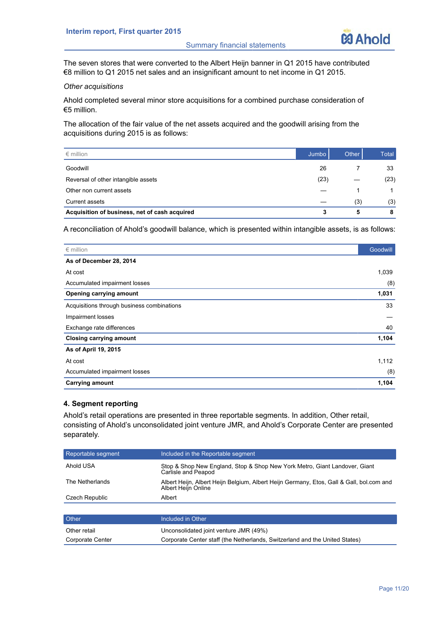

The seven stores that were converted to the Albert Heijn banner in Q1 2015 have contributed €8 million to Q1 2015 net sales and an insignificant amount to net income in Q1 2015.

# *Other acquisitions*

Ahold completed several minor store acquisitions for a combined purchase consideration of €5 million.

The allocation of the fair value of the net assets acquired and the goodwill arising from the acquisitions during 2015 is as follows:

| $\epsilon$ million                            | Jumbo | Other | Total |
|-----------------------------------------------|-------|-------|-------|
| Goodwill                                      | 26    |       | 33    |
| Reversal of other intangible assets           | (23)  |       | (23)  |
| Other non current assets                      |       |       |       |
| Current assets                                |       | (3)   | (3)   |
| Acquisition of business, net of cash acquired | 3     | 5     | 8     |

A reconciliation of Ahold's goodwill balance, which is presented within intangible assets, is as follows:

| $\epsilon$ million                         | Goodwill |
|--------------------------------------------|----------|
| As of December 28, 2014                    |          |
| At cost                                    | 1,039    |
| Accumulated impairment losses              | (8)      |
| Opening carrying amount                    | 1,031    |
| Acquisitions through business combinations | 33       |
| Impairment losses                          |          |
| Exchange rate differences                  | 40       |
| <b>Closing carrying amount</b>             | 1,104    |
| As of April 19, 2015                       |          |
| At cost                                    | 1,112    |
| Accumulated impairment losses              | (8)      |
| <b>Carrying amount</b>                     | 1,104    |

# **4. Segment reporting**

Ahold's retail operations are presented in three reportable segments. In addition, Other retail, consisting of Ahold's unconsolidated joint venture JMR, and Ahold's Corporate Center are presented separately.

| Reportable segment | Included in the Reportable segment                                                                              |
|--------------------|-----------------------------------------------------------------------------------------------------------------|
| Ahold USA          | Stop & Shop New England, Stop & Shop New York Metro, Giant Landover, Giant<br>Carlisle and Peapod               |
| The Netherlands    | Albert Heijn, Albert Heijn Belgium, Albert Heijn Germany, Etos, Gall & Gall, bol.com and<br>Albert Heijn Online |
| Czech Republic     | Albert                                                                                                          |
|                    |                                                                                                                 |
| <b>Other</b>       | Included in Other                                                                                               |
| Other retail       | Unconsolidated joint venture JMR (49%)                                                                          |
| Corporate Center   | Corporate Center staff (the Netherlands, Switzerland and the United States)                                     |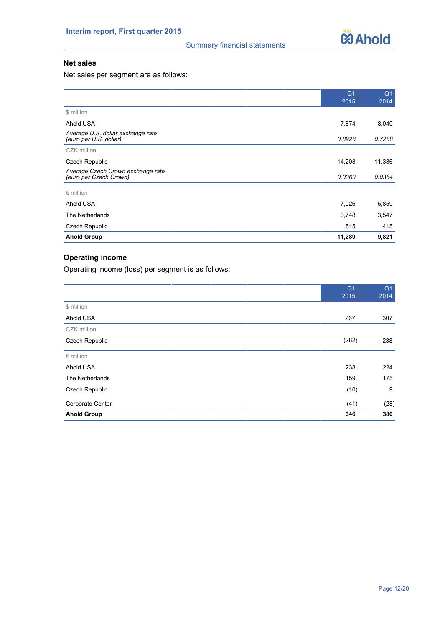

# **Net sales**

Net sales per segment are as follows:

|                                                             | Q <sub>1</sub> | Q <sub>1</sub> |
|-------------------------------------------------------------|----------------|----------------|
|                                                             | 2015           | 2014           |
| \$ million                                                  |                |                |
| Ahold USA                                                   | 7,874          | 8,040          |
| Average U.S. dollar exchange rate<br>(euro per U.S. dollar) | 0.8928         | 0.7288         |
| CZK million                                                 |                |                |
| Czech Republic                                              | 14,208         | 11,386         |
| Average Czech Crown exchange rate<br>(euro per Czech Crown) | 0.0363         | 0.0364         |
| $\epsilon$ million                                          |                |                |
| Ahold USA                                                   | 7,026          | 5,859          |
| The Netherlands                                             | 3,748          | 3,547          |
| <b>Czech Republic</b>                                       | 515            | 415            |
| <b>Ahold Group</b>                                          | 11,289         | 9,821          |

# **Operating income**

Operating income (loss) per segment is as follows:

|                       | Q <sub>1</sub><br>2015 | Q <sub>1</sub><br>2014 |
|-----------------------|------------------------|------------------------|
| \$ million            |                        |                        |
| Ahold USA             | 267                    | 307                    |
| CZK million           |                        |                        |
| <b>Czech Republic</b> | (282)                  | 238                    |
| $∈$ million           |                        |                        |
| Ahold USA             | 238                    | 224                    |
| The Netherlands       | 159                    | 175                    |
| Czech Republic        | (10)                   | 9                      |
| Corporate Center      | (41)                   | (28)                   |
| <b>Ahold Group</b>    | 346                    | 380                    |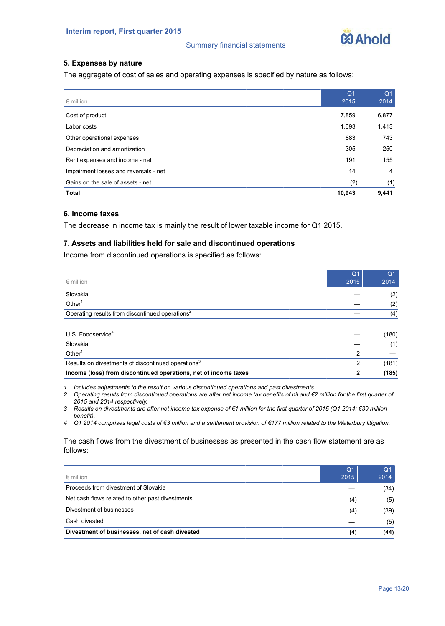

# **5. Expenses by nature**

The aggregate of cost of sales and operating expenses is specified by nature as follows:

|                                       | Q <sub>1</sub> | Q <sub>1</sub> |
|---------------------------------------|----------------|----------------|
| $\epsilon$ million                    | 2015           | 2014           |
| Cost of product                       | 7,859          | 6,877          |
| Labor costs                           | 1,693          | 1,413          |
| Other operational expenses            | 883            | 743            |
| Depreciation and amortization         | 305            | 250            |
| Rent expenses and income - net        | 191            | 155            |
| Impairment losses and reversals - net | 14             | 4              |
| Gains on the sale of assets - net     | (2)            | (1)            |
| <b>Total</b>                          | 10,943         | 9,441          |

# **6. Income taxes**

The decrease in income tax is mainly the result of lower taxable income for Q1 2015.

# **7. Assets and liabilities held for sale and discontinued operations**

Income from discontinued operations is specified as follows:

|                                                                 | Q <sub>1</sub> | Q <sub>1</sub> |
|-----------------------------------------------------------------|----------------|----------------|
| $\epsilon$ million                                              | 2015           | 2014           |
| Slovakia                                                        |                | (2)            |
| Other $1$                                                       |                | (2)            |
| Operating results from discontinued operations <sup>2</sup>     |                | (4)            |
|                                                                 |                |                |
| U.S. Foodservice <sup>4</sup>                                   |                | (180)          |
| Slovakia                                                        |                | (1)            |
| Other $1$                                                       | 2              |                |
| Results on divestments of discontinued operations <sup>3</sup>  | 2              | (181)          |
| Income (loss) from discontinued operations, net of income taxes | 2              | (185)          |

*1 Includes adjustments to the result on various discontinued operations and past divestments.*

*2 Operating results from discontinued operations are after net income tax benefits of nil and €2 million for the first quarter of 2015 and 2014 respectively.*

*3 Results on divestments are after net income tax expense of €1 million for the first quarter of 2015 (Q1 2014: €39 million benefit).*

*4 Q1 2014 comprises legal costs of €3 million and a settlement provision of €177 million related to the Waterbury litigation.* 

The cash flows from the divestment of businesses as presented in the cash flow statement are as follows:

| $\epsilon$ million                               | Q <sub>1</sub><br>2015 | Q <sub>1</sub><br>2014 |
|--------------------------------------------------|------------------------|------------------------|
| Proceeds from divestment of Slovakia             |                        | (34)                   |
| Net cash flows related to other past divestments |                        | (5)                    |
| Divestment of businesses                         | (4)                    | (39)                   |
| Cash divested                                    |                        | (5)                    |
| Divestment of businesses, net of cash divested   | (4)                    | (44)                   |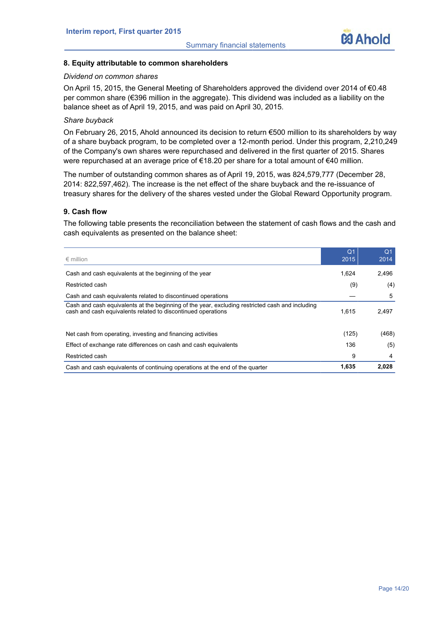

## **8. Equity attributable to common shareholders**

#### *Dividend on common shares*

On April 15, 2015, the General Meeting of Shareholders approved the dividend over 2014 of €0.48 per common share (€396 million in the aggregate). This dividend was included as a liability on the balance sheet as of April 19, 2015, and was paid on April 30, 2015.

### *Share buyback*

On February 26, 2015, Ahold announced its decision to return €500 million to its shareholders by way of a share buyback program, to be completed over a 12-month period. Under this program, 2,210,249 of the Company's own shares were repurchased and delivered in the first quarter of 2015. Shares were repurchased at an average price of €18.20 per share for a total amount of €40 million.

The number of outstanding common shares as of April 19, 2015, was 824,579,777 (December 28, 2014: 822,597,462). The increase is the net effect of the share buyback and the re-issuance of treasury shares for the delivery of the shares vested under the Global Reward Opportunity program.

# **9. Cash flow**

The following table presents the reconciliation between the statement of cash flows and the cash and cash equivalents as presented on the balance sheet:

| $\epsilon$ million                                                                                                                                              | Q <sub>1</sub><br>2015 | Q <sub>1</sub><br>2014 |
|-----------------------------------------------------------------------------------------------------------------------------------------------------------------|------------------------|------------------------|
| Cash and cash equivalents at the beginning of the year                                                                                                          | 1,624                  | 2,496                  |
| Restricted cash                                                                                                                                                 | (9)                    | (4)                    |
| Cash and cash equivalents related to discontinued operations                                                                                                    |                        | 5                      |
| Cash and cash equivalents at the beginning of the year, excluding restricted cash and including<br>cash and cash equivalents related to discontinued operations | 1.615                  | 2.497                  |
| Net cash from operating, investing and financing activities                                                                                                     | (125)                  | (468)                  |
| Effect of exchange rate differences on cash and cash equivalents                                                                                                | 136                    | (5)                    |
| Restricted cash                                                                                                                                                 | 9                      | 4                      |
| Cash and cash equivalents of continuing operations at the end of the quarter                                                                                    | 1,635                  | 2,028                  |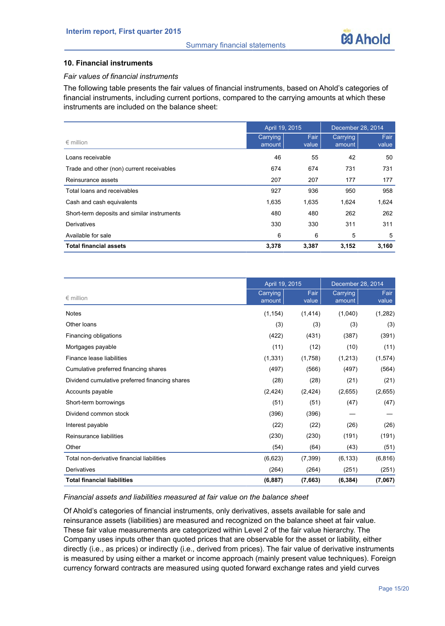

# **10. Financial instruments**

## *Fair values of financial instruments*

The following table presents the fair values of financial instruments, based on Ahold's categories of financial instruments, including current portions, compared to the carrying amounts at which these instruments are included on the balance sheet:

|                                             | April 19, 2015     |               |                    | December 28, 2014 |  |
|---------------------------------------------|--------------------|---------------|--------------------|-------------------|--|
| $\epsilon$ million                          | Carrying<br>amount | Fair<br>value | Carrying<br>amount | Fair<br>value     |  |
| Loans receivable                            | 46                 | 55            | 42                 | 50                |  |
| Trade and other (non) current receivables   | 674                | 674           | 731                | 731               |  |
| Reinsurance assets                          | 207                | 207           | 177                | 177               |  |
| Total loans and receivables                 | 927                | 936           | 950                | 958               |  |
| Cash and cash equivalents                   | 1,635              | 1,635         | 1,624              | 1,624             |  |
| Short-term deposits and similar instruments | 480                | 480           | 262                | 262               |  |
| Derivatives                                 | 330                | 330           | 311                | 311               |  |
| Available for sale                          | 6                  | 6             | 5                  | 5                 |  |
| <b>Total financial assets</b>               | 3,378              | 3,387         | 3,152              | 3,160             |  |

|                                                | April 19, 2015     |               | December 28, 2014  |               |
|------------------------------------------------|--------------------|---------------|--------------------|---------------|
| $\epsilon$ million                             | Carrying<br>amount | Fair<br>value | Carrying<br>amount | Fair<br>value |
| <b>Notes</b>                                   | (1, 154)           | (1, 414)      | (1,040)            | (1,282)       |
| Other loans                                    | (3)                | (3)           | (3)                | (3)           |
| Financing obligations                          | (422)              | (431)         | (387)              | (391)         |
| Mortgages payable                              | (11)               | (12)          | (10)               | (11)          |
| Finance lease liabilities                      | (1, 331)           | (1,758)       | (1,213)            | (1,574)       |
| Cumulative preferred financing shares          | (497)              | (566)         | (497)              | (564)         |
| Dividend cumulative preferred financing shares | (28)               | (28)          | (21)               | (21)          |
| Accounts payable                               | (2, 424)           | (2, 424)      | (2,655)            | (2,655)       |
| Short-term borrowings                          | (51)               | (51)          | (47)               | (47)          |
| Dividend common stock                          | (396)              | (396)         |                    |               |
| Interest payable                               | (22)               | (22)          | (26)               | (26)          |
| Reinsurance liabilities                        | (230)              | (230)         | (191)              | (191)         |
| Other                                          | (54)               | (64)          | (43)               | (51)          |
| Total non-derivative financial liabilities     | (6,623)            | (7, 399)      | (6, 133)           | (6, 816)      |
| Derivatives                                    | (264)              | (264)         | (251)              | (251)         |
| <b>Total financial liabilities</b>             | (6, 887)           | (7,663)       | (6, 384)           | (7,067)       |

## *Financial assets and liabilities measured at fair value on the balance sheet*

Of Ahold's categories of financial instruments, only derivatives, assets available for sale and reinsurance assets (liabilities) are measured and recognized on the balance sheet at fair value. These fair value measurements are categorized within Level 2 of the fair value hierarchy. The Company uses inputs other than quoted prices that are observable for the asset or liability, either directly (i.e., as prices) or indirectly (i.e., derived from prices). The fair value of derivative instruments is measured by using either a market or income approach (mainly present value techniques). Foreign currency forward contracts are measured using quoted forward exchange rates and yield curves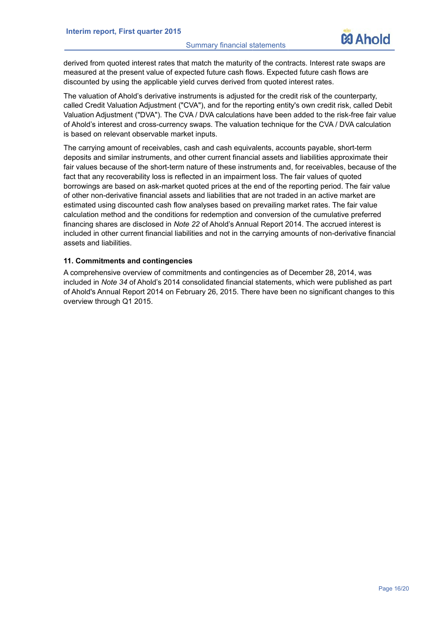

derived from quoted interest rates that match the maturity of the contracts. Interest rate swaps are measured at the present value of expected future cash flows. Expected future cash flows are discounted by using the applicable yield curves derived from quoted interest rates.

The valuation of Ahold's derivative instruments is adjusted for the credit risk of the counterparty, called Credit Valuation Adjustment ("CVA"), and for the reporting entity's own credit risk, called Debit Valuation Adjustment ("DVA"). The CVA / DVA calculations have been added to the risk-free fair value of Ahold's interest and cross-currency swaps. The valuation technique for the CVA / DVA calculation is based on relevant observable market inputs.

The carrying amount of receivables, cash and cash equivalents, accounts payable, short-term deposits and similar instruments, and other current financial assets and liabilities approximate their fair values because of the short-term nature of these instruments and, for receivables, because of the fact that any recoverability loss is reflected in an impairment loss. The fair values of quoted borrowings are based on ask-market quoted prices at the end of the reporting period. The fair value of other non-derivative financial assets and liabilities that are not traded in an active market are estimated using discounted cash flow analyses based on prevailing market rates. The fair value calculation method and the conditions for redemption and conversion of the cumulative preferred financing shares are disclosed in *Note 22* of Ahold's Annual Report 2014. The accrued interest is included in other current financial liabilities and not in the carrying amounts of non-derivative financial assets and liabilities.

# **11. Commitments and contingencies**

A comprehensive overview of commitments and contingencies as of December 28, 2014, was included in *Note 34* of Ahold's 2014 consolidated financial statements, which were published as part of Ahold's Annual Report 2014 on February 26, 2015. There have been no significant changes to this overview through Q1 2015.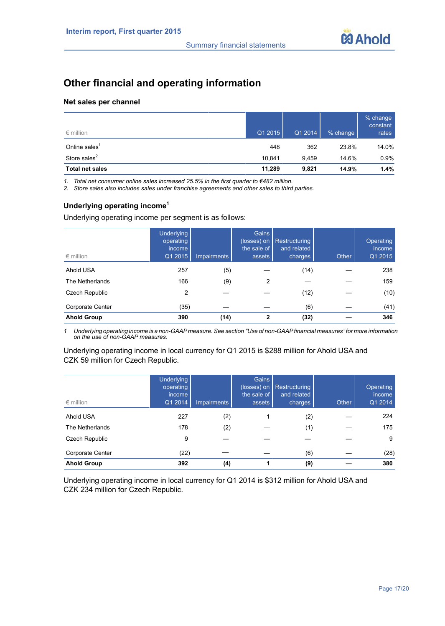

# **Other financial and operating information**

#### **Net sales per channel**

| $\epsilon$ million        | Q1 2015 | Q1 2014 | % change | % change<br>constant<br>rates |
|---------------------------|---------|---------|----------|-------------------------------|
| Online sales <sup>1</sup> | 448     | 362     | 23.8%    | 14.0%                         |
| Store sales $2$           | 10.841  | 9.459   | 14.6%    | 0.9%                          |
| <b>Total net sales</b>    | 11,289  | 9,821   | 14.9%    | 1.4%                          |

*1. Total net consumer online sales increased 25.5% in the first quarter to €482 million.*

*2. Store sales also includes sales under franchise agreements and other sales to third parties.*

# **Underlying operating income<sup>1</sup>**

Underlying operating income per segment is as follows:

| $\epsilon$ million | <b>Underlying</b><br>operating<br><i>income</i><br>Q1 2015 | Impairments | Gains<br>(losses) on<br>the sale of<br>assets | Restructuring<br>and related<br>charges | Other | Operating<br>income<br>Q1 2015 |
|--------------------|------------------------------------------------------------|-------------|-----------------------------------------------|-----------------------------------------|-------|--------------------------------|
| Ahold USA          | 257                                                        | (5)         |                                               | (14)                                    |       | 238                            |
| The Netherlands    | 166                                                        | (9)         | 2                                             |                                         |       | 159                            |
| Czech Republic     | 2                                                          |             |                                               | (12)                                    |       | (10)                           |
| Corporate Center   | (35)                                                       |             |                                               | (6)                                     |       | (41)                           |
| <b>Ahold Group</b> | 390                                                        | (14)        | 2                                             | (32)                                    |       | 346                            |

*1 Underlying operating income is a non-GAAPmeasure. See section "Use of non-GAAPfinancial measures" for more information on the use of non-GAAP measures.*

Underlying operating income in local currency for Q1 2015 is \$288 million for Ahold USA and CZK 59 million for Czech Republic.

| $\epsilon$ million | <b>Underlying</b><br>operating<br><i>income</i><br>Q1 2014 | <b>Impairments</b> | Gains<br>(losses) on<br>the sale of<br>assets | Restructuring<br>and related<br>charges | Other | Operating<br>income<br>Q1 2014 |
|--------------------|------------------------------------------------------------|--------------------|-----------------------------------------------|-----------------------------------------|-------|--------------------------------|
| Ahold USA          | 227                                                        | (2)                |                                               | (2)                                     |       | 224                            |
| The Netherlands    | 178                                                        | (2)                |                                               | (1)                                     |       | 175                            |
| Czech Republic     | 9                                                          |                    |                                               |                                         |       | 9                              |
| Corporate Center   | (22)                                                       |                    |                                               | (6)                                     |       | (28)                           |
| <b>Ahold Group</b> | 392                                                        | (4)                |                                               | (9)                                     |       | 380                            |

Underlying operating income in local currency for Q1 2014 is \$312 million for Ahold USA and CZK 234 million for Czech Republic.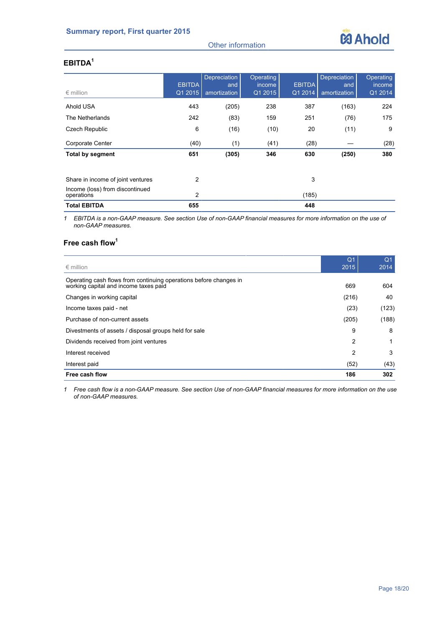# Other information



# **EBITDA<sup>1</sup>**

| $\epsilon$ million                            | <b>EBITDA</b><br>Q1 2015 | Depreciation<br>and<br>amortization | Operating<br><i>income</i><br>Q1 2015 | <b>EBITDA</b><br>Q1 2014 | Depreciation<br>and<br>amortization | Operating<br>income<br>Q1 2014 |
|-----------------------------------------------|--------------------------|-------------------------------------|---------------------------------------|--------------------------|-------------------------------------|--------------------------------|
| Ahold USA                                     | 443                      | (205)                               | 238                                   | 387                      | (163)                               | 224                            |
| The Netherlands                               | 242                      | (83)                                | 159                                   | 251                      | (76)                                | 175                            |
| Czech Republic                                | 6                        | (16)                                | (10)                                  | 20                       | (11)                                | 9                              |
| Corporate Center                              | (40)                     | (1)                                 | (41)                                  | (28)                     |                                     | (28)                           |
| <b>Total by segment</b>                       | 651                      | (305)                               | 346                                   | 630                      | (250)                               | 380                            |
| Share in income of joint ventures             | 2                        |                                     |                                       | 3                        |                                     |                                |
| Income (loss) from discontinued<br>operations | 2                        |                                     |                                       | (185)                    |                                     |                                |
| <b>Total EBITDA</b>                           | 655                      |                                     |                                       | 448                      |                                     |                                |

*1 EBITDA is a non-GAAP measure. See section Use of non-GAAP financial measures for more information on the use of non-GAAP measures.*

# **Free cash flow<sup>1</sup>**

|                                                                                                            | Q <sub>1</sub> | Q <sub>1</sub> |
|------------------------------------------------------------------------------------------------------------|----------------|----------------|
| $\epsilon$ million                                                                                         | 2015           | 2014           |
| Operating cash flows from continuing operations before changes in<br>working capital and income taxes paid | 669            | 604            |
| Changes in working capital                                                                                 | (216)          | 40             |
| Income taxes paid - net                                                                                    | (23)           | (123)          |
| Purchase of non-current assets                                                                             | (205)          | (188)          |
| Divestments of assets / disposal groups held for sale                                                      | 9              | 8              |
| Dividends received from joint ventures                                                                     | 2              | 1              |
| Interest received                                                                                          | 2              | 3              |
| Interest paid                                                                                              | (52)           | (43)           |
| Free cash flow                                                                                             | 186            | 302            |

*1 Free cash flow is a non-GAAP measure. See section Use of non-GAAP financial measures for more information on the use of non-GAAP measures.*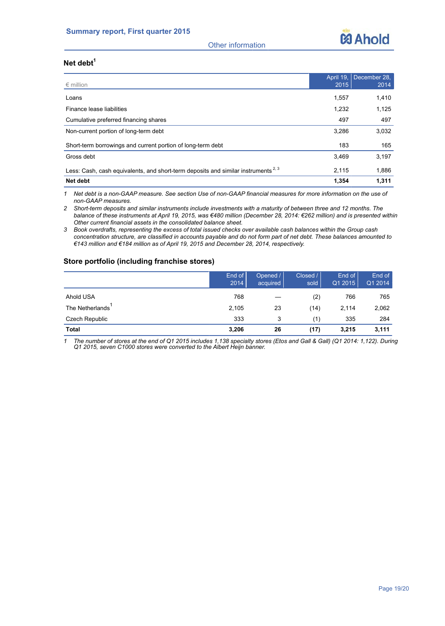

Other information

# **Net debt<sup>1</sup>**

|                                                                                               |       | April 19, December 28, |
|-----------------------------------------------------------------------------------------------|-------|------------------------|
| $\epsilon$ million                                                                            | 2015  | 2014                   |
| Loans                                                                                         | 1,557 | 1,410                  |
| Finance lease liabilities                                                                     | 1,232 | 1,125                  |
| Cumulative preferred financing shares                                                         | 497   | 497                    |
| Non-current portion of long-term debt                                                         | 3.286 | 3,032                  |
| Short-term borrowings and current portion of long-term debt                                   | 183   | 165                    |
| Gross debt                                                                                    | 3,469 | 3,197                  |
| Less: Cash, cash equivalents, and short-term deposits and similar instruments <sup>2, 3</sup> | 2.115 | 1,886                  |
| Net debt                                                                                      | 1,354 | 1,311                  |

*1 Net debt is a non-GAAP measure. See section Use of non-GAAP financial measures for more information on the use of non-GAAP measures.*

*2 Short-term deposits and similar instruments include investments with a maturity of between three and 12 months. The balance of these instruments at April 19, 2015, was €480 million (December 28, 2014: €262 million) and is presented within Other current financial assets in the consolidated balance sheet.* 

*3 Book overdrafts, representing the excess of total issued checks over available cash balances within the Group cash concentration structure, are classified in accounts payable and do not form part of net debt. These balances amounted to €143 million and €184 million as of April 19, 2015 and December 28, 2014, respectively.*

# **Store portfolio (including franchise stores)**

|                 | End of<br>2014 | Opened /<br>acquired | Closed /<br>sold | End of<br>Q1 2015 | End of<br>Q1 2014 |
|-----------------|----------------|----------------------|------------------|-------------------|-------------------|
| Ahold USA       | 768            |                      | (2)              | 766               | 765               |
| The Netherlands | 2,105          | 23                   | (14)             | 2,114             | 2,062             |
| Czech Republic  | 333            | 3                    | (1)              | 335               | 284               |
| Total           | 3,206          | 26                   | (17)             | 3,215             | 3,111             |

*1 The number of stores at the end of Q1 2015 includes 1,138 specialty stores (Etos and Gall & Gall) (Q1 2014: 1,122). During Q1 2015, seven C1000 stores were converted to the Albert Heijn banner.*